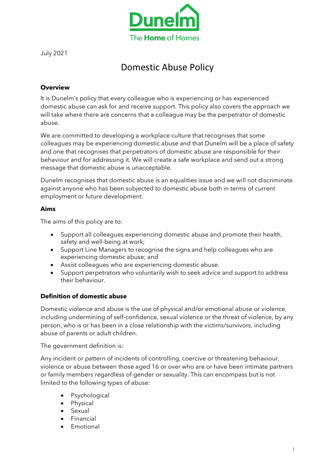

July 2021

# Domestic Abuse Policy

# **Overview**

It is Dunelm's policy that every colleague who is experiencing or has experienced domestic abuse can ask for and receive support. This policy also covers the approach we will take where there are concerns that a colleague may be the perpetrator of domestic abuse.

We are committed to developing a workplace culture that recognises that some colleagues may be experiencing domestic abuse and that Dunelm will be a place of safety and one that recognises that perpetrators of domestic abuse are responsible for their behaviour and for addressing it. We will create a safe workplace and send out a strong message that domestic abuse is unacceptable.

Dunelm recognises that domestic abuse is an equalities issue and we will not discriminate against anyone who has been subjected to domestic abuse both in terms of current employment or future development.

#### **Aims**

The aims of this policy are to:

- Support all colleagues experiencing domestic abuse and promote their health, safety and well-being at work;
- Support Line Managers to recognise the signs and help colleagues who are experiencing domestic abuse; and
- Assist colleagues who are experiencing domestic abuse.
- Support perpetrators who voluntarily wish to seek advice and support to address their behaviour.

#### **Definition of domestic abuse**

Domestic violence and abuse is the use of physical and/or emotional abuse or violence, including undermining of self-confidence, sexual violence or the threat of violence, by any person, who is or has been in a close relationship with the victims/survivors, including abuse of parents or adult children.

The government definition is:

Any incident or pattern of incidents of controlling, coercive or threatening behaviour, violence or abuse between those aged 16 or over who are or have been intimate partners or family members regardless of gender or sexuality. This can encompass but is not limited to the following types of abuse:

- **Psychological**
- Physical
- **Sexual**
- **Financial**
- **Emotional**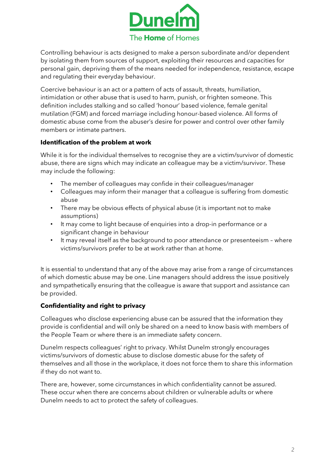

Controlling behaviour is acts designed to make a person subordinate and/or dependent by isolating them from sources of support, exploiting their resources and capacities for personal gain, depriving them of the means needed for independence, resistance, escape and regulating their everyday behaviour.

Coercive behaviour is an act or a pattern of acts of assault, threats, humiliation, intimidation or other abuse that is used to harm, punish, or frighten someone. This definition includes stalking and so called 'honour' based violence, female genital mutilation (FGM) and forced marriage including honour-based violence. All forms of domestic abuse come from the abuser's desire for power and control over other family members or intimate partners.

# **Identification of the problem at work**

While it is for the individual themselves to recognise they are a victim/survivor of domestic abuse, there are signs which may indicate an colleague may be a victim/survivor. These may include the following:

- The member of colleagues may confide in their colleagues/manager
- Colleagues may inform their manager that a colleague is suffering from domestic abuse
- There may be obvious effects of physical abuse (it is important not to make assumptions)
- It may come to light because of enquiries into a drop-in performance or a significant change in behaviour
- It may reveal itself as the background to poor attendance or presenteeism where victims/survivors prefer to be at work rather than at home.

It is essential to understand that any of the above may arise from a range of circumstances of which domestic abuse may be one. Line managers should address the issue positively and sympathetically ensuring that the colleague is aware that support and assistance can be provided.

# **Confidentiality and right to privacy**

Colleagues who disclose experiencing abuse can be assured that the information they provide is confidential and will only be shared on a need to know basis with members of the People Team or where there is an immediate safety concern.

Dunelm respects colleagues' right to privacy. Whilst Dunelm strongly encourages victims/survivors of domestic abuse to disclose domestic abuse for the safety of themselves and all those in the workplace, it does not force them to share this information if they do not want to.

There are, however, some circumstances in which confidentiality cannot be assured. These occur when there are concerns about children or vulnerable adults or where Dunelm needs to act to protect the safety of colleagues.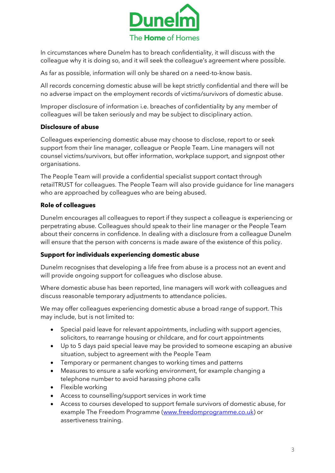

In circumstances where Dunelm has to breach confidentiality, it will discuss with the colleague why it is doing so, and it will seek the colleague's agreement where possible.

As far as possible, information will only be shared on a need-to-know basis.

All records concerning domestic abuse will be kept strictly confidential and there will be no adverse impact on the employment records of victims/survivors of domestic abuse.

Improper disclosure of information i.e. breaches of confidentiality by any member of colleagues will be taken seriously and may be subject to disciplinary action.

# **Disclosure of abuse**

Colleagues experiencing domestic abuse may choose to disclose, report to or seek support from their line manager, colleague or People Team. Line managers will not counsel victims/survivors, but offer information, workplace support, and signpost other organisations.

The People Team will provide a confidential specialist support contact through retailTRUST for colleagues. The People Team will also provide guidance for line managers who are approached by colleagues who are being abused.

# **Role of colleagues**

Dunelm encourages all colleagues to report if they suspect a colleague is experiencing or perpetrating abuse. Colleagues should speak to their line manager or the People Team about their concerns in confidence. In dealing with a disclosure from a colleague Dunelm will ensure that the person with concerns is made aware of the existence of this policy.

#### **Support for individuals experiencing domestic abuse**

Dunelm recognises that developing a life free from abuse is a process not an event and will provide ongoing support for colleagues who disclose abuse.

Where domestic abuse has been reported, line managers will work with colleagues and discuss reasonable temporary adjustments to attendance policies.

We may offer colleagues experiencing domestic abuse a broad range of support. This may include, but is not limited to:

- Special paid leave for relevant appointments, including with support agencies, solicitors, to rearrange housing or childcare, and for court appointments
- Up to 5 days paid special leave may be provided to someone escaping an abusive situation, subject to agreement with the People Team
- Temporary or permanent changes to working times and patterns
- Measures to ensure a safe working environment, for example changing a telephone number to avoid harassing phone calls
- Flexible working
- Access to counselling/support services in work time
- Access to courses developed to support female survivors of domestic abuse, for example The Freedom Programme [\(www.freedomprogramme.co.uk\)](http://www.freedomprogramme.co.uk/) or assertiveness training.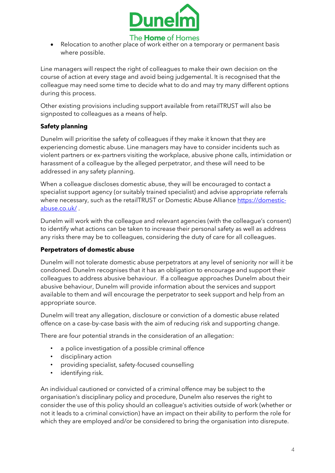

Relocation to another place of work either on a temporary or permanent basis where possible.

Line managers will respect the right of colleagues to make their own decision on the course of action at every stage and avoid being judgemental. It is recognised that the colleague may need some time to decide what to do and may try many different options during this process.

Other existing provisions including support available from retailTRUST will also be signposted to colleagues as a means of help.

# **Safety planning**

Dunelm will prioritise the safety of colleagues if they make it known that they are experiencing domestic abuse. Line managers may have to consider incidents such as violent partners or ex-partners visiting the workplace, abusive phone calls, intimidation or harassment of a colleague by the alleged perpetrator, and these will need to be addressed in any safety planning.

When a colleague discloses domestic abuse, they will be encouraged to contact a specialist support agency (or suitably trained specialist) and advise appropriate referrals where necessary, such as the retailTRUST or Domestic Abuse Alliance [https://domestic](https://domestic-abuse.co.uk/)[abuse.co.uk/](https://domestic-abuse.co.uk/) .

Dunelm will work with the colleague and relevant agencies (with the colleague's consent) to identify what actions can be taken to increase their personal safety as well as address any risks there may be to colleagues, considering the duty of care for all colleagues.

#### **Perpetrators of domestic abuse**

Dunelm will not tolerate domestic abuse perpetrators at any level of seniority nor will it be condoned. Dunelm recognises that it has an obligation to encourage and support their colleagues to address abusive behaviour. If a colleague approaches Dunelm about their abusive behaviour, Dunelm will provide information about the services and support available to them and will encourage the perpetrator to seek support and help from an appropriate source.

Dunelm will treat any allegation, disclosure or conviction of a domestic abuse related offence on a case-by-case basis with the aim of reducing risk and supporting change.

There are four potential strands in the consideration of an allegation:

- a police investigation of a possible criminal offence
- disciplinary action
- providing specialist, safety-focused counselling
- identifying risk.

An individual cautioned or convicted of a criminal offence may be subject to the organisation's disciplinary policy and procedure, Dunelm also reserves the right to consider the use of this policy should an colleague's activities outside of work (whether or not it leads to a criminal conviction) have an impact on their ability to perform the role for which they are employed and/or be considered to bring the organisation into disrepute.